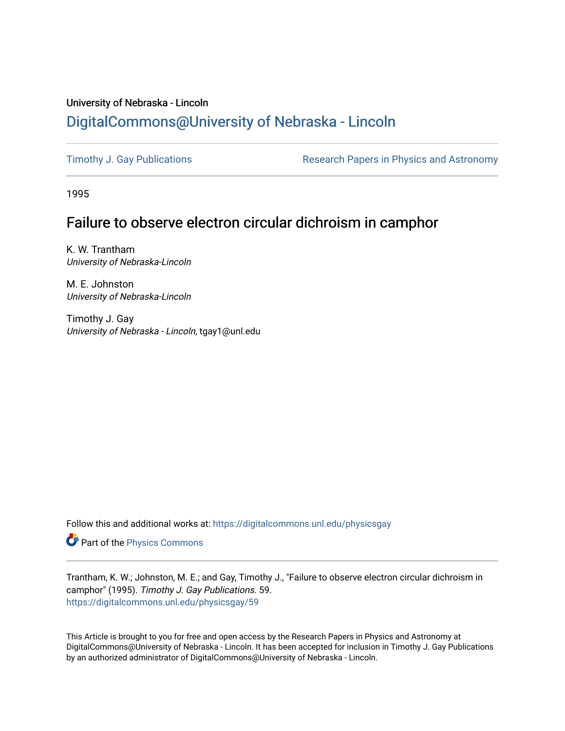# University of Nebraska - Lincoln [DigitalCommons@University of Nebraska - Lincoln](https://digitalcommons.unl.edu/)

[Timothy J. Gay Publications](https://digitalcommons.unl.edu/physicsgay) **Research Papers in Physics and Astronomy** 

1995

# Failure to observe electron circular dichroism in camphor

K. W. Trantham University of Nebraska-Lincoln

M. E. Johnston University of Nebraska-Lincoln

Timothy J. Gay University of Nebraska - Lincoln, tgay1@unl.edu

Follow this and additional works at: [https://digitalcommons.unl.edu/physicsgay](https://digitalcommons.unl.edu/physicsgay?utm_source=digitalcommons.unl.edu%2Fphysicsgay%2F59&utm_medium=PDF&utm_campaign=PDFCoverPages)

Part of the [Physics Commons](http://network.bepress.com/hgg/discipline/193?utm_source=digitalcommons.unl.edu%2Fphysicsgay%2F59&utm_medium=PDF&utm_campaign=PDFCoverPages)

Trantham, K. W.; Johnston, M. E.; and Gay, Timothy J., "Failure to observe electron circular dichroism in camphor" (1995). Timothy J. Gay Publications. 59. [https://digitalcommons.unl.edu/physicsgay/59](https://digitalcommons.unl.edu/physicsgay/59?utm_source=digitalcommons.unl.edu%2Fphysicsgay%2F59&utm_medium=PDF&utm_campaign=PDFCoverPages) 

This Article is brought to you for free and open access by the Research Papers in Physics and Astronomy at DigitalCommons@University of Nebraska - Lincoln. It has been accepted for inclusion in Timothy J. Gay Publications by an authorized administrator of DigitalCommons@University of Nebraska - Lincoln.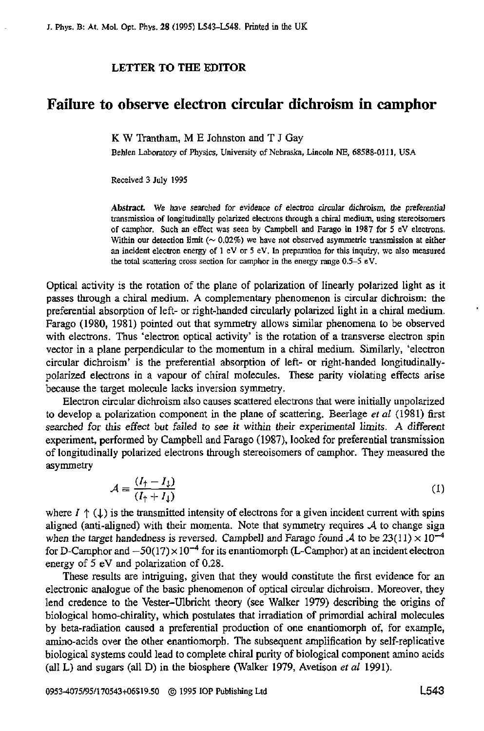#### **LETTER TO THE EDITOR**

### **Failure to observe electron circular dichroism in camphor**

K **W** Trantham, M E Johnston and T J Gay

Behlen Laboratory of Physics, University of Nebraska, Lincoln NE, 68588-0111, USA

Received 3 July **1995** 

Abstract. We have searched for evidence of electron circular dichroism, the preferential transmission of longirudinally polarized electrons lhrough a chiral medium, using stereoisomers **of** camphor. Such an effect **was** seen by Campbell and Farago in **1987** for *5* **eV** elecvons. Within our detection limit  $(\sim 0.02\%)$  we have not observed asymmetric transmission at either an incident electron energy of **1 eV** or *5* **eV. ln** preption for **this** inquiry, **we** also measured the total scattering cross section for camphor in the energy range  $0.5-5$  eV.

Optical activity is the rotation of the plane of polarization of linearly polarized light **as** it passes through a chiral medium. **A** complementary phenomenon is circular dichroism: the preferential absorption of left- or right-handed circularly polarized light in a chiral medium. Farago (1980, 1981) pointed out that symmetry allows similar phenomena to be observed with electrons. Thus 'electron optical activity' is the rotation **of a** transverse electron spin vector in a plane perpendicular to the momentum in a chiral medium. Similarly, 'electron circular dichroism' is the preferential absorption of left- or right-handed longitudinallypolarized electrons in **a** vapour of chiral molecules. These parity violating effects arise because the target molecule lacks inversion symmetry.

Electron circular dichroism also causes scattered electrons that were initially unpolarized to develop **a** polarization component in the plane of scattering. Beerlage *ef al* (1981) first searched for *this* effect but **failed** to **see** it within their experimental limits. A different experiment, performed by Campbell and Farago (1987). **looked** for preferential transmission of longitudinally polarized electrons through stereoisomers of camphor. They measured the asymmetry

$$
\mathcal{A} \equiv \frac{(I_{\uparrow} - I_{\downarrow})}{(I_{\uparrow} + I_{\downarrow})} \tag{1}
$$

where  $I \uparrow (1)$  is the transmitted intensity of electrons for a given incident current with spins aligned (anti-aligned) with their momenta. Note that symmetry requires *A* to change sign when the target handedness is reversed. Campbell and Farago found  $\lambda$  to be 23(11)  $\times$  10<sup>-4</sup> for D-Camphor and  $-50(17) \times 10^{-4}$  for its enantiomorph (L-Camphor) at an incident electron energy of 5 **eV** and polarization of 0.28.

These results are intriguing, given that they would constitute the first evidence for **an**  electronic analogue of the basic phenomenon of optical circular dichroism. Moreover, they lend credence to the Vester-Ulbricht theory (see Walker 1979) describing the origins of biological homo-chirality, which postulates that irradiation **of** primordial achiral molecules by beta-radiation caused a preferential production of one enantiomorph of, for example, amino-acids over the other enantiomorph. **The** subsequent amplification by self-replicative biological systems could lead to complete chiral purity of biological component amino acids (all **L)** and sugars (all D) in the biosphere (Walker 1979, Avetison **er** *a1* 1991).

**0953-4075/95/170543t06519.50** @ **1995** 1OP Publishing Ltd **L543**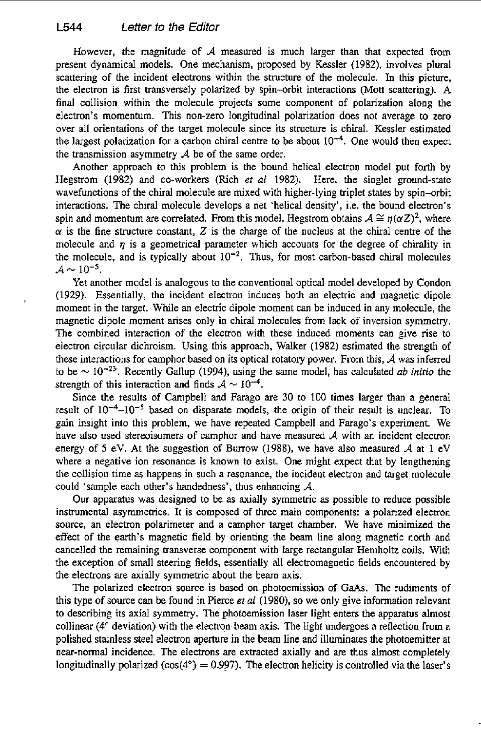However, the magnitude of *A* measured is much larger than that expected from present dynamical models. One mechanism, proposed by Kessler **(1982),** involves plural scattering of the incident electrons within the structure of the molecule. In this picture, the electron is first transversely polarized by spin--orbit interactions (Mott scattering). A final collision within the molecule projects some component of polarization along the electron's momentum. This non-zero longitudinal polarization does not average to zero over all orientations **of** the target molecule since its structure is chiral. Kessler estimated the largest polarization for a carbon chiral centre to be about  $10^{-4}$ . One would then expect the transmission asymmetry  $A$  be of the same order.

Another approach to this problem is the bound helical electron model put forth by Hegstrom (1982) and co-workers (Rich **et** *a1* 1982). Here, the singlet ground-state wavefunctions of the chiral molecule are mixed with higher-lying triplet states by spin-orbit interactions. The chiral molecule develops a net 'helical density', i.e. the bound electron's spin and momentum are correlated. From this model, Hegstrom obtains  $A \cong \eta(\alpha Z)^2$ , where  $\alpha$  is the fine structure constant, Z is the charge of the nucleus at the chiral centre of the molecule and  $\eta$  is a geometrical parameter which accounts for the degree of chirality in the molecule, and is typically about  $10^{-2}$ . Thus, for most carbon-based chiral molecules  $A \sim 10^{-5}$ .

Yet another model is analogous to the conventional optical model developed by Condon (1929). Essentially, the incident electron induces both an electric and magnetic dipole moment in the target. While an electric dipole moment can be induced in any molecule, the magnetic dipole moment arises only in chiral molecules from lack of inversion symmetry. The combined interaction of the electron with these induced moments can give rise to electron circular dichroism. Using this approach, Walker (1982) estimated the strength of these interactions for camphor based on its optical rotatory power. From this, *A* was inferred to be  $\sim 10^{-23}$ . Recently Gallup (1994), using the same model, has calculated *ab initio* the strength of this interaction and finds  $A \sim 10^{-4}$ .

Since the results of Campbell and Farago are 30 to 100 times larger than a general result of **10-4-10-5** based on disparate models, the origin of their result is unclear. To **gain** insight into this problem. we have repeated Campbell and Farago's experiment. We have also used stereoisomers of camphor and have measured *A* with an incident electron energy of *5* eV. At the suggestion **of** Burrow (1988), we have also measured *A* at 1 eV where a negative ion resonance is known to exist. One might expect that by lengthening the collision time **as** happens in such a resonance, the incident electron and target molecule could 'sample each other's handedness', thus enhancing *A.* 

Our apparatus was designed to be as axially symmetric as possible to reduce possible instrumental asymmetries. It is composed of three main components: a polarized electron source, an electron polarimeter and a camphor target chamber. We have minimized the effect of the **earth's** magnetic field by orienting the beam line along magnetic north and cancelled the remaining transverse component with large rectangular Hemholtz coils. With the exception of small steering fields, essentially all electromagnetic fields encountered by the electrons are axially symmetric about the beam axis.

The polarized electron source is based on photoemission of GaAs. The rudiments of this type **of** source can be found in Pierce *et al* (1980), so we only give information relevant to describing its axial symmetry. The photoemission laser light enters the apparatus almost collinear (4" deviation) with the electron-beam axis. The light undergoes a reflection from a polished stainless steel electron aperture in the beam line and illuminates the photoemitter at near-normal incidence. The electrons are extracted axially and **are** thus almost completely longitudinally polarized  $(cos(4^\circ) = 0.997)$ . The electron helicity is controlled via the laser's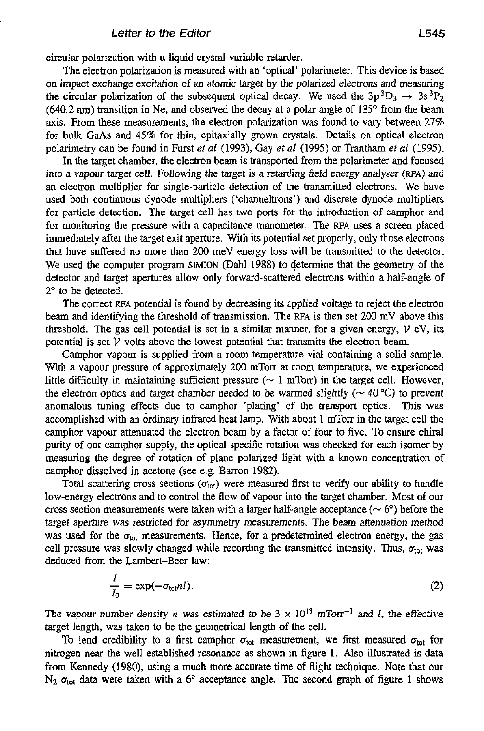circular polarization with a liquid crystal variable retarder.

The electron polarization is measured with an 'optical' polarimeter. This device is based on impact exchange excitation of an alomic target by the polarized electrons and measuring the circular polarization of the subsequent optical decay. We used the  $3p^3D_3 \rightarrow 3s^3P_2$  $(640.2 \text{ nm})$  transition in Ne, and observed the decay at a polar angle of 135 $\degree$  from the beam axis. From these measurements, the electron polarization was found to vary between *21%*  for bulk **GaAs** and 45% for thin, epitaxially grown crystals. Details on optical electron polarimetry can be found in Furst *et ai* (1993), Gay *et al* (1995) or Trantham **ef** *al* (1995).

In the target chamber, the electron beam is transported from the polarimeter and focused into *a* vapour target cell. Following the target is a retarding field energy analyser **(RPA)** and an electron multiplier for single-particle detection of the transmitted electrons. We have used both continuous dynode multipliers ('channeltrons') and discrete dynode multipliers for particle detection. The target cell has two ports for the introduction of camphor and for monitoring the pressure with a capacitance manometer. The **RPA uses** a screen placed immediately after the target exit aperture. With its potential set properly, only those electrons that have suffered no more than 200 meV energy loss will be transmitted to the detector. We used the computer program **SIMION** (Dah1 1988) to determine that the geometry of the detector and target apertures allow only forward-scattered electrons within a half-angle of 2" to be detected.

The correct **RFA** potential is found by decreasing its applied voltage to reject the electron beam and identifying the threshold of transmission. The **RFA** is then set 200 mV above this threshold. The gas cell potential is set in a similar manner, for a given energy,  $V eV$ , its potential is set  $V$  volts above the lowest potential that transmits the electron beam.

Camphor vapour is supplied from a room temperature vial containing a solid sample. With a vapour pressure **of** approximately 200 mTorr at room temperature, we experienced little difficulty in maintaining sufficient pressure ( $\sim 1$  mTorr) in the target cell. However, the electron optics and target chamber needed to be warmed slightly ( $\sim$  40 °C) to prevent anomalous tuning effects due to camphor 'plating' of the transport optics. This was accomplished with an ordinary infrared heat lamp. With about 1 mTorr in the target cell the camphor vapour attenuated the electron beam by a factor of four to five. To ensure chiral purity of our camphor supply, the optical specific rotation was checked for each isomer by measuring the degree of rotation of plane polarized light with a known concentration of camphor dissolved in acetone (see e.g. Barron 1982).

Total scattering cross sections  $(\sigma_{\text{tot}})$  were measured first to verify our ability to handle low-energy electrons and to control the flow of vapour into the target chamber. Most **of** our cross section measurements were taken with a larger half-angle acceptance ( $\sim 6^{\circ}$ ) before the target aperture was restricted for asymmetry measurements. The beam attenuation method was used for the  $\sigma_{\text{tot}}$  measurements. Hence, for a predetermined electron energy, the gas cell pressure was slowly changed while recording the transmitted intensity. Thus,  $\sigma_{\text{tot}}$  was deduced from the Lambert-Beer law:

$$
\frac{I}{I_0} = \exp(-\sigma_{\text{tot}} nI). \tag{2}
$$

The vapour number density *n* was estimated to be  $3 \times 10^{13}$  mTorr<sup>-1</sup> and *I*, the effective target length, was taken to be the geometrical length of the cell.

To lend credibility to a first camphor  $\sigma_{\text{tot}}$  measurement, we first measured  $\sigma_{\text{tot}}$  for nitrogen near the well established resonance as shown in figure 1. Also illustrated is data from Kennedy (1980), using a much more accurate time of flight technique. Note that our  $N_2$   $\sigma_{\text{tot}}$  data were taken with a 6° acceptance angle. The second graph of figure 1 shows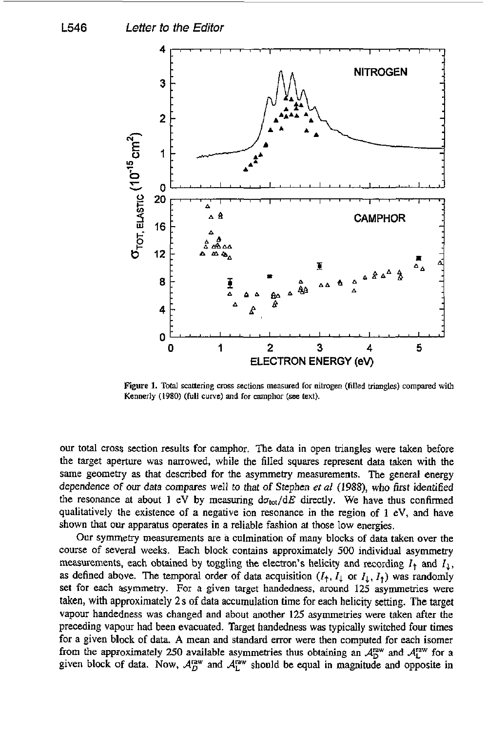

**Figure 1.** Total scattering cross sections measured for nitrogen (filled triangles) compared with **Kennedy (1980) (full curve) and for** camphor **(see** *text).* 

our total cross section results for camphor. The data in open triangles were taken before the target aperture was narrowed, while the filled squares represent data taken with the same geometry **as** that described for the asymmetry measurements. The general energy dependence of *OUT* data compares well to that *of* Stephen *eta1 (1988),* who first identified the resonance at about 1 eV by measuring  $d\sigma_{tot}/dE$  directly. We have thus confirmed qualitatively the existence *of* **a** negative ion resonance in the region of **1** eV, and have shown that our apparatus operates in a reliable fashion at those low energies.

**Our** symmetry measurements are a culmination of many blocks of data taken over the course of several weeks. Each block contains approximately 500 individual asymmetry measurements, each obtained by toggling the electron's helicity and recording  $I_1$  and  $I_2$ , as defined above. The temporal order of data acquisition  $(I_1, I_1$  or  $I_1, I_1)$  was randomly set **for** each asymmetry. For a given target handedness, around 125 asymmetries were taken, with approximately **2s of** data accumulation time for each helicity setting. The target vapour handedness was changed and about another 125 asymmetries were taken after the preceding vapour had been evacuated. Target handedness was typically switched **four** times **for a** given block of data. **A** mean and standard error were then computed for each isomer from the approximately 250 available asymmetries thus obtaining an  $A_D^{\text{raw}}$  and  $A_L^{\text{raw}}$  for a given block of data. Now,  $A_D^{\text{raw}}$  and  $A_L^{\text{raw}}$  should be equal in magnitude and opposite in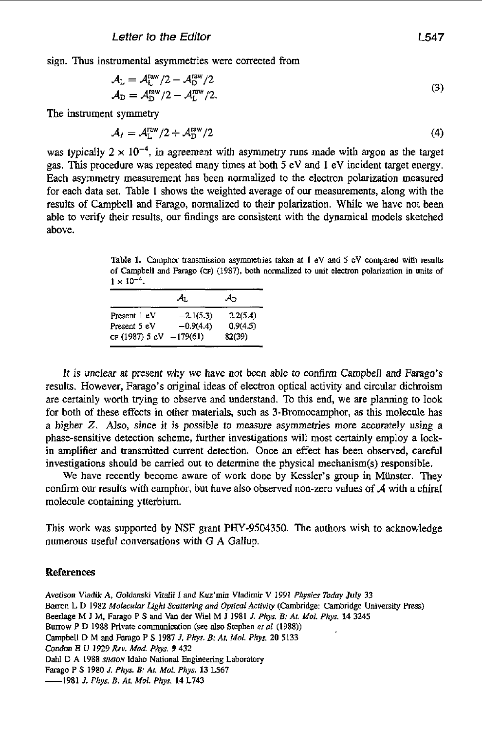sign. Thus instrumental asymmetries were corrected from

$$
A_{\rm L} = A_{\rm L}^{\rm raw} / 2 - A_{\rm D}^{\rm raw} / 2
$$
  
\n
$$
A_{\rm D} = A_{\rm D}^{\rm raw} / 2 - A_{\rm L}^{\rm raw} / 2.
$$
 (3)

The instrument symmetry

$$
\mathcal{A}_I = \mathcal{A}_L^{\text{raw}}/2 + \mathcal{A}_D^{\text{raw}}/2 \tag{4}
$$

was typically  $2 \times 10^{-4}$ , in agreement with asymmetry runs made with argon as the target gas. This procedure was repeated many times at both *5* eV and **1** eV incident target energy. Each asymmetry measurement has been normalized to the electron polarization measured for each data set. Table **1** shows the weighted average of our measurements, along with the results of Campbell and Farago, normalized to their polarization. While we have not been able to verify their results, our findings are consistent with the dynamical models sketched above.

**Table 1. Camphor transmission asymmetries taken at 1 eV and** 5 **eV compared with results of Campbell and Farago (CF) (1987), both normalized** to **unit electron polarization in units** of  $1 \times 10^{-4}$ .

|                                           | Aт.         | Aп                 |
|-------------------------------------------|-------------|--------------------|
| Present 1 eV                              | $-2.1(5.3)$ | 2.2(5.4)           |
| Present 5 eV<br>CF (1987) 5 eV $-179(61)$ | $-0.9(4.4)$ | 0.9(4.5)<br>82(39) |

It is unclear at present why we have not been able to confirm Campbell and Farago's results. However, Farago's original ideas *of* electron optical activity and circular dichroism are certainly worth trying to observe and understand. To this end, we are planning to look for both of these effects in other materials, such as 3-Bromocamphor, **as** this molecule has a higher *Z.* **Also,** since it is possible to measure asymmetries more accurately using a phase-sensitive detection scheme, further investigations will most certainly employ a lockin amplifier and transmitted current detection. Once an effect has been observed, careful investigations should be carried out to determine the physical mechanism $(s)$  responsible.

We have recently become aware of work done by Kessler's group in Münster. They confirm our results with camphor, but have also observed non-zero values **of** *d* with a chiral molecule containing ytterbium.

This work was supported by **NSF** grant PHY-9504350. The authors wish to acknowledge numerous useful conversations with G **A** Gallup.

#### **References**

**Avefison Vladik A, Goldatski Mtalii** *I* **and Kuz'min Vladimir V 1991** *Physics Today* **July 33 Barton L D 1982** *Moleculnr Lighl Scatrering and Optical Activiry* **(Cambridge: Cambridge University Press) Beerlage M 1 M, Farago P S and Van der Wiel M 1 1981** *J. Phys. B: Ar. Mol. Phys.* **14 3245 Burrow P D 1988 Private communication (see also Stephen** *et 01* **(1988)) Campbell D M and Fmgo P S 1987** *J. Phys. B: Ar. Mol. Phys. 20* **5133**  *Condon E U 1929 Rev. Mad. Phys. 9* **432 Dahl D A 1988** *SIMON* **Idaho National Engineering Laboratory Farago P S 1980** *J. Phys. B: At. MOL Phys.* **13 U67 -1981** *3. Phys, B: AI. Mol. Phys.* **14 L743**